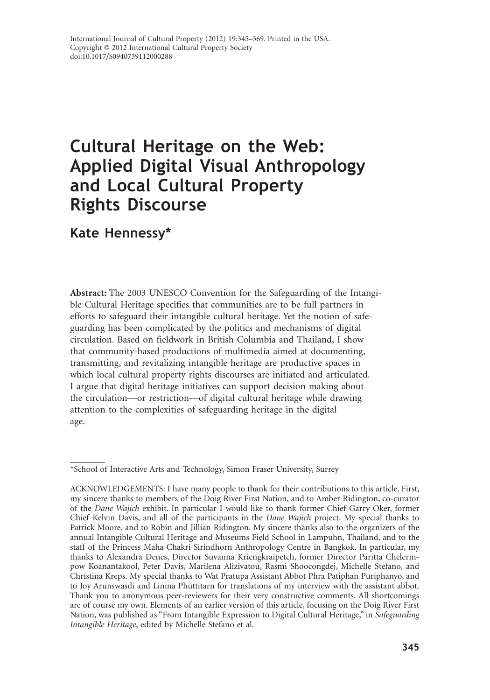# **Cultural Heritage on the Web: Applied Digital Visual Anthropology and Local Cultural Property Rights Discourse**

# **Kate Hennessy\***

**Abstract:** The 2003 UNESCO Convention for the Safeguarding of the Intangible Cultural Heritage specifies that communities are to be full partners in efforts to safeguard their intangible cultural heritage. Yet the notion of safeguarding has been complicated by the politics and mechanisms of digital circulation. Based on fieldwork in British Columbia and Thailand, I show that community-based productions of multimedia aimed at documenting, transmitting, and revitalizing intangible heritage are productive spaces in which local cultural property rights discourses are initiated and articulated. I argue that digital heritage initiatives can support decision making about the circulation—or restriction—of digital cultural heritage while drawing attention to the complexities of safeguarding heritage in the digital age.

<sup>\*</sup>School of Interactive Arts and Technology, Simon Fraser University, Surrey

ACKNOWLEDGEMENTS: I have many people to thank for their contributions to this article. First, my sincere thanks to members of the Doig River First Nation, and to Amber Ridington, co-curator of the *Dane Wajich* exhibit. In particular I would like to thank former Chief Garry Oker, former Chief Kelvin Davis, and all of the participants in the *Dane Wajich* project. My special thanks to Patrick Moore, and to Robin and Jillian Ridington. My sincere thanks also to the organizers of the annual Intangible Cultural Heritage and Museums Field School in Lampuhn, Thailand, and to the staff of the Princess Maha Chakri Sirindhorn Anthropology Centre in Bangkok. In particular, my thanks to Alexandra Denes, Director Suvanna Kriengkraipetch, former Director Paritta Chelermpow Koanantakool, Peter Davis, Marilena Alizivatou, Rasmi Shoocongdej, Michelle Stefano, and Christina Kreps. My special thanks to Wat Pratupa Assistant Abbot Phra Patiphan Puriphanyo, and to Joy Arunswasdi and Linina Phuttitarn for translations of my interview with the assistant abbot. Thank you to anonymous peer-reviewers for their very constructive comments. All shortcomings are of course my own. Elements of an earlier version of this article, focusing on the Doig River First Nation, was published as "From Intangible Expression to Digital Cultural Heritage," in *Safeguarding Intangible Heritage*, edited by Michelle Stefano et al.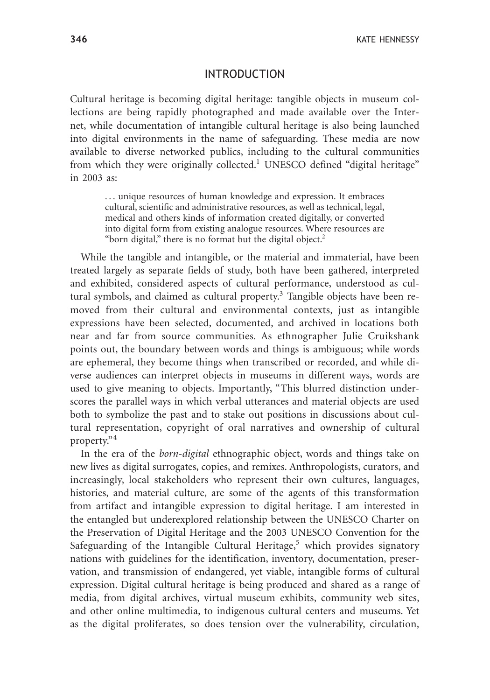#### INTRODUCTION

Cultural heritage is becoming digital heritage: tangible objects in museum collections are being rapidly photographed and made available over the Internet, while documentation of intangible cultural heritage is also being launched into digital environments in the name of safeguarding. These media are now available to diverse networked publics, including to the cultural communities from which they were originally collected.<sup>1</sup> UNESCO defined "digital heritage" in 2003 as:

. . . unique resources of human knowledge and expression. It embraces cultural, scientific and administrative resources, as well as technical, legal, medical and others kinds of information created digitally, or converted into digital form from existing analogue resources. Where resources are "born digital," there is no format but the digital object.<sup>2</sup>

While the tangible and intangible, or the material and immaterial, have been treated largely as separate fields of study, both have been gathered, interpreted and exhibited, considered aspects of cultural performance, understood as cultural symbols, and claimed as cultural property.<sup>3</sup> Tangible objects have been removed from their cultural and environmental contexts, just as intangible expressions have been selected, documented, and archived in locations both near and far from source communities. As ethnographer Julie Cruikshank points out, the boundary between words and things is ambiguous; while words are ephemeral, they become things when transcribed or recorded, and while diverse audiences can interpret objects in museums in different ways, words are used to give meaning to objects. Importantly, "This blurred distinction underscores the parallel ways in which verbal utterances and material objects are used both to symbolize the past and to stake out positions in discussions about cultural representation, copyright of oral narratives and ownership of cultural property."<sup>4</sup>

In the era of the *born-digital* ethnographic object, words and things take on new lives as digital surrogates, copies, and remixes. Anthropologists, curators, and increasingly, local stakeholders who represent their own cultures, languages, histories, and material culture, are some of the agents of this transformation from artifact and intangible expression to digital heritage. I am interested in the entangled but underexplored relationship between the UNESCO Charter on the Preservation of Digital Heritage and the 2003 UNESCO Convention for the Safeguarding of the Intangible Cultural Heritage,<sup>5</sup> which provides signatory nations with guidelines for the identification, inventory, documentation, preservation, and transmission of endangered, yet viable, intangible forms of cultural expression. Digital cultural heritage is being produced and shared as a range of media, from digital archives, virtual museum exhibits, community web sites, and other online multimedia, to indigenous cultural centers and museums. Yet as the digital proliferates, so does tension over the vulnerability, circulation,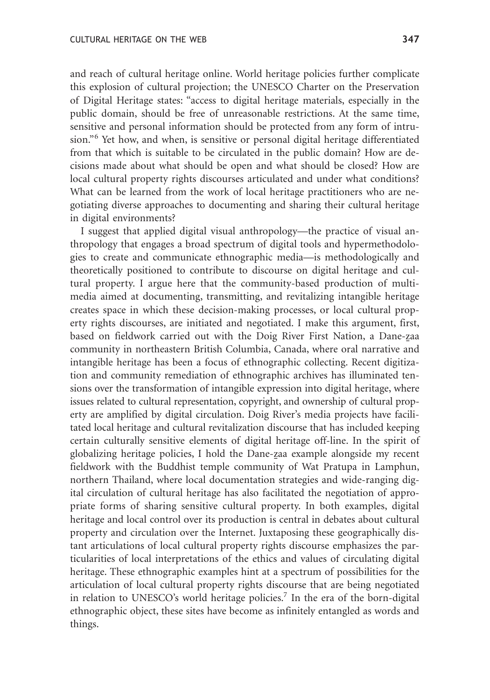and reach of cultural heritage online. World heritage policies further complicate this explosion of cultural projection; the UNESCO Charter on the Preservation of Digital Heritage states: "access to digital heritage materials, especially in the public domain, should be free of unreasonable restrictions. At the same time, sensitive and personal information should be protected from any form of intrusion."<sup>6</sup> Yet how, and when, is sensitive or personal digital heritage differentiated from that which is suitable to be circulated in the public domain? How are decisions made about what should be open and what should be closed? How are local cultural property rights discourses articulated and under what conditions? What can be learned from the work of local heritage practitioners who are negotiating diverse approaches to documenting and sharing their cultural heritage in digital environments?

I suggest that applied digital visual anthropology—the practice of visual anthropology that engages a broad spectrum of digital tools and hypermethodologies to create and communicate ethnographic media—is methodologically and theoretically positioned to contribute to discourse on digital heritage and cultural property. I argue here that the community-based production of multimedia aimed at documenting, transmitting, and revitalizing intangible heritage creates space in which these decision-making processes, or local cultural property rights discourses, are initiated and negotiated. I make this argument, first, based on fieldwork carried out with the Doig River First Nation, a Dane-zaa community in northeastern British Columbia, Canada, where oral narrative and intangible heritage has been a focus of ethnographic collecting. Recent digitization and community remediation of ethnographic archives has illuminated tensions over the transformation of intangible expression into digital heritage, where issues related to cultural representation, copyright, and ownership of cultural property are amplified by digital circulation. Doig River's media projects have facilitated local heritage and cultural revitalization discourse that has included keeping certain culturally sensitive elements of digital heritage off-line. In the spirit of globalizing heritage policies, I hold the Dane-<u>z</u>aa example alongside my recent fieldwork with the Buddhist temple community of Wat Pratupa in Lamphun, northern Thailand, where local documentation strategies and wide-ranging digital circulation of cultural heritage has also facilitated the negotiation of appropriate forms of sharing sensitive cultural property. In both examples, digital heritage and local control over its production is central in debates about cultural property and circulation over the Internet. Juxtaposing these geographically distant articulations of local cultural property rights discourse emphasizes the particularities of local interpretations of the ethics and values of circulating digital heritage. These ethnographic examples hint at a spectrum of possibilities for the articulation of local cultural property rights discourse that are being negotiated in relation to UNESCO's world heritage policies.<sup>7</sup> In the era of the born-digital ethnographic object, these sites have become as infinitely entangled as words and things.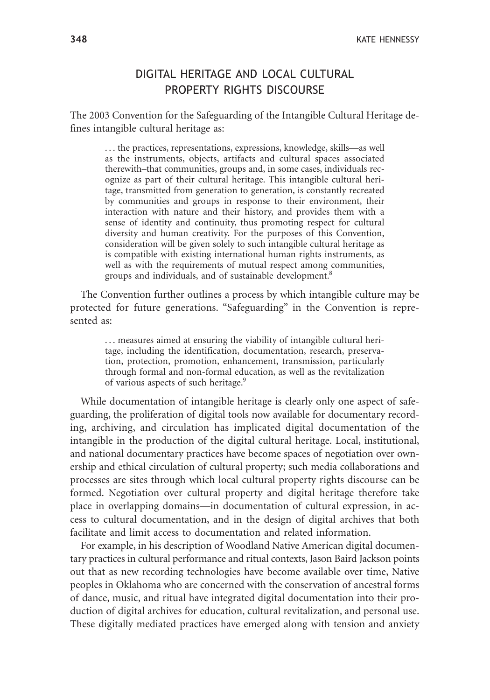# DIGITAL HERITAGE AND LOCAL CULTURAL PROPERTY RIGHTS DISCOURSE

The 2003 Convention for the Safeguarding of the Intangible Cultural Heritage defines intangible cultural heritage as:

. . . the practices, representations, expressions, knowledge, skills—as well as the instruments, objects, artifacts and cultural spaces associated therewith–that communities, groups and, in some cases, individuals recognize as part of their cultural heritage. This intangible cultural heritage, transmitted from generation to generation, is constantly recreated by communities and groups in response to their environment, their interaction with nature and their history, and provides them with a sense of identity and continuity, thus promoting respect for cultural diversity and human creativity. For the purposes of this Convention, consideration will be given solely to such intangible cultural heritage as is compatible with existing international human rights instruments, as well as with the requirements of mutual respect among communities, groups and individuals, and of sustainable development.8

The Convention further outlines a process by which intangible culture may be protected for future generations. "Safeguarding" in the Convention is represented as:

. . . measures aimed at ensuring the viability of intangible cultural heritage, including the identification, documentation, research, preservation, protection, promotion, enhancement, transmission, particularly through formal and non-formal education, as well as the revitalization of various aspects of such heritage.9

While documentation of intangible heritage is clearly only one aspect of safeguarding, the proliferation of digital tools now available for documentary recording, archiving, and circulation has implicated digital documentation of the intangible in the production of the digital cultural heritage. Local, institutional, and national documentary practices have become spaces of negotiation over ownership and ethical circulation of cultural property; such media collaborations and processes are sites through which local cultural property rights discourse can be formed. Negotiation over cultural property and digital heritage therefore take place in overlapping domains—in documentation of cultural expression, in access to cultural documentation, and in the design of digital archives that both facilitate and limit access to documentation and related information.

For example, in his description of Woodland Native American digital documentary practices in cultural performance and ritual contexts, Jason Baird Jackson points out that as new recording technologies have become available over time, Native peoples in Oklahoma who are concerned with the conservation of ancestral forms of dance, music, and ritual have integrated digital documentation into their production of digital archives for education, cultural revitalization, and personal use. These digitally mediated practices have emerged along with tension and anxiety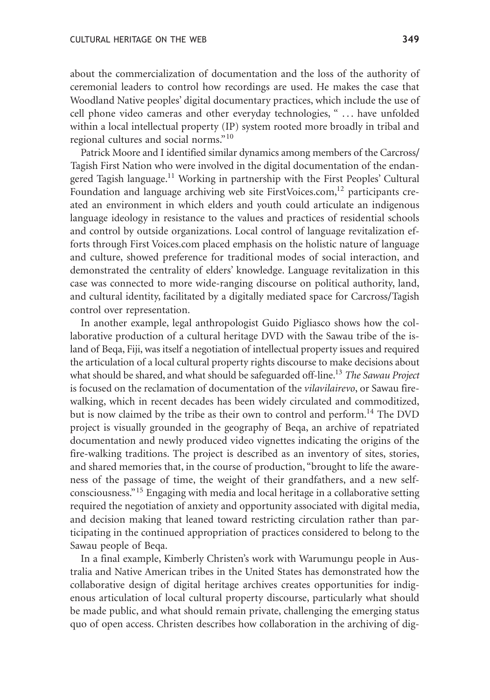about the commercialization of documentation and the loss of the authority of ceremonial leaders to control how recordings are used. He makes the case that Woodland Native peoples' digital documentary practices, which include the use of cell phone video cameras and other everyday technologies, " . . . have unfolded within a local intellectual property (IP) system rooted more broadly in tribal and regional cultures and social norms."<sup>10</sup>

Patrick Moore and I identified similar dynamics among members of the Carcross/ Tagish First Nation who were involved in the digital documentation of the endangered Tagish language.<sup>11</sup> Working in partnership with the First Peoples' Cultural Foundation and language archiving web site FirstVoices.com, $^{12}$  participants created an environment in which elders and youth could articulate an indigenous language ideology in resistance to the values and practices of residential schools and control by outside organizations. Local control of language revitalization efforts through First Voices.com placed emphasis on the holistic nature of language and culture, showed preference for traditional modes of social interaction, and demonstrated the centrality of elders' knowledge. Language revitalization in this case was connected to more wide-ranging discourse on political authority, land, and cultural identity, facilitated by a digitally mediated space for Carcross/Tagish control over representation.

In another example, legal anthropologist Guido Pigliasco shows how the collaborative production of a cultural heritage DVD with the Sawau tribe of the island of Beqa, Fiji, was itself a negotiation of intellectual property issues and required the articulation of a local cultural property rights discourse to make decisions about what should be shared, and what should be safeguarded off-line.13 *The Sawau Project* is focused on the reclamation of documentation of the *vilavilairevo*, or Sawau firewalking, which in recent decades has been widely circulated and commoditized, but is now claimed by the tribe as their own to control and perform.<sup>14</sup> The DVD project is visually grounded in the geography of Beqa, an archive of repatriated documentation and newly produced video vignettes indicating the origins of the fire-walking traditions. The project is described as an inventory of sites, stories, and shared memories that, in the course of production, "brought to life the awareness of the passage of time, the weight of their grandfathers, and a new selfconsciousness."<sup>15</sup> Engaging with media and local heritage in a collaborative setting required the negotiation of anxiety and opportunity associated with digital media, and decision making that leaned toward restricting circulation rather than participating in the continued appropriation of practices considered to belong to the Sawau people of Beqa.

In a final example, Kimberly Christen's work with Warumungu people in Australia and Native American tribes in the United States has demonstrated how the collaborative design of digital heritage archives creates opportunities for indigenous articulation of local cultural property discourse, particularly what should be made public, and what should remain private, challenging the emerging status quo of open access. Christen describes how collaboration in the archiving of dig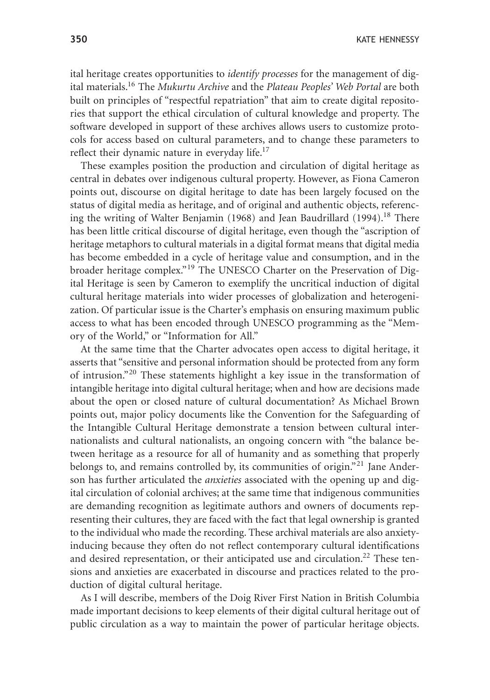**350** KATE HENNESSY

ital heritage creates opportunities to *identify processes* for the management of digital materials.16 The *Mukurtu Archive* and the *Plateau Peoples' Web Portal* are both built on principles of "respectful repatriation" that aim to create digital repositories that support the ethical circulation of cultural knowledge and property. The software developed in support of these archives allows users to customize protocols for access based on cultural parameters, and to change these parameters to reflect their dynamic nature in everyday life.<sup>17</sup>

These examples position the production and circulation of digital heritage as central in debates over indigenous cultural property. However, as Fiona Cameron points out, discourse on digital heritage to date has been largely focused on the status of digital media as heritage, and of original and authentic objects, referencing the writing of Walter Benjamin (1968) and Jean Baudrillard (1994).<sup>18</sup> There has been little critical discourse of digital heritage, even though the "ascription of heritage metaphors to cultural materials in a digital format means that digital media has become embedded in a cycle of heritage value and consumption, and in the broader heritage complex."<sup>19</sup> The UNESCO Charter on the Preservation of Digital Heritage is seen by Cameron to exemplify the uncritical induction of digital cultural heritage materials into wider processes of globalization and heterogenization. Of particular issue is the Charter's emphasis on ensuring maximum public access to what has been encoded through UNESCO programming as the "Memory of the World," or "Information for All."

At the same time that the Charter advocates open access to digital heritage, it asserts that "sensitive and personal information should be protected from any form of intrusion."<sup>20</sup> These statements highlight a key issue in the transformation of intangible heritage into digital cultural heritage; when and how are decisions made about the open or closed nature of cultural documentation? As Michael Brown points out, major policy documents like the Convention for the Safeguarding of the Intangible Cultural Heritage demonstrate a tension between cultural internationalists and cultural nationalists, an ongoing concern with "the balance between heritage as a resource for all of humanity and as something that properly belongs to, and remains controlled by, its communities of origin."<sup>21</sup> Jane Anderson has further articulated the *anxieties* associated with the opening up and digital circulation of colonial archives; at the same time that indigenous communities are demanding recognition as legitimate authors and owners of documents representing their cultures, they are faced with the fact that legal ownership is granted to the individual who made the recording. These archival materials are also anxietyinducing because they often do not reflect contemporary cultural identifications and desired representation, or their anticipated use and circulation.<sup>22</sup> These tensions and anxieties are exacerbated in discourse and practices related to the production of digital cultural heritage.

As I will describe, members of the Doig River First Nation in British Columbia made important decisions to keep elements of their digital cultural heritage out of public circulation as a way to maintain the power of particular heritage objects.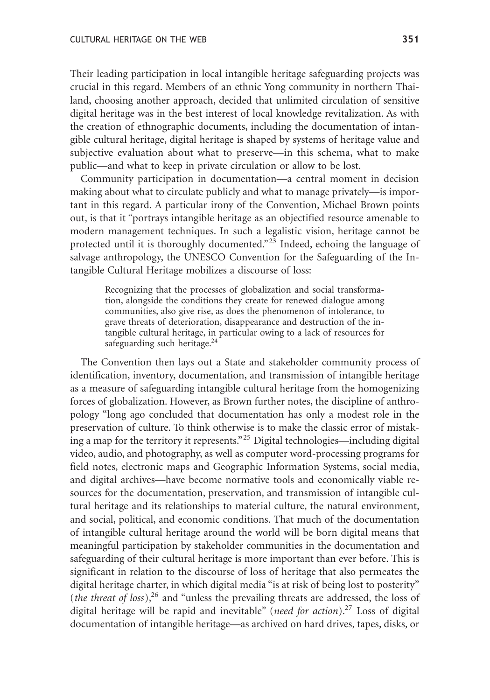Their leading participation in local intangible heritage safeguarding projects was crucial in this regard. Members of an ethnic Yong community in northern Thailand, choosing another approach, decided that unlimited circulation of sensitive digital heritage was in the best interest of local knowledge revitalization. As with the creation of ethnographic documents, including the documentation of intangible cultural heritage, digital heritage is shaped by systems of heritage value and subjective evaluation about what to preserve—in this schema, what to make public—and what to keep in private circulation or allow to be lost.

Community participation in documentation—a central moment in decision making about what to circulate publicly and what to manage privately—is important in this regard. A particular irony of the Convention, Michael Brown points out, is that it "portrays intangible heritage as an objectified resource amenable to modern management techniques. In such a legalistic vision, heritage cannot be protected until it is thoroughly documented."<sup>23</sup> Indeed, echoing the language of salvage anthropology, the UNESCO Convention for the Safeguarding of the Intangible Cultural Heritage mobilizes a discourse of loss:

Recognizing that the processes of globalization and social transformation, alongside the conditions they create for renewed dialogue among communities, also give rise, as does the phenomenon of intolerance, to grave threats of deterioration, disappearance and destruction of the intangible cultural heritage, in particular owing to a lack of resources for safeguarding such heritage. $24$ 

The Convention then lays out a State and stakeholder community process of identification, inventory, documentation, and transmission of intangible heritage as a measure of safeguarding intangible cultural heritage from the homogenizing forces of globalization. However, as Brown further notes, the discipline of anthropology "long ago concluded that documentation has only a modest role in the preservation of culture. To think otherwise is to make the classic error of mistaking a map for the territory it represents."<sup>25</sup> Digital technologies—including digital video, audio, and photography, as well as computer word-processing programs for field notes, electronic maps and Geographic Information Systems, social media, and digital archives—have become normative tools and economically viable resources for the documentation, preservation, and transmission of intangible cultural heritage and its relationships to material culture, the natural environment, and social, political, and economic conditions. That much of the documentation of intangible cultural heritage around the world will be born digital means that meaningful participation by stakeholder communities in the documentation and safeguarding of their cultural heritage is more important than ever before. This is significant in relation to the discourse of loss of heritage that also permeates the digital heritage charter, in which digital media "is at risk of being lost to posterity" (*the threat of loss*),<sup>26</sup> and "unless the prevailing threats are addressed, the loss of digital heritage will be rapid and inevitable" (*need for action*).27 Loss of digital documentation of intangible heritage—as archived on hard drives, tapes, disks, or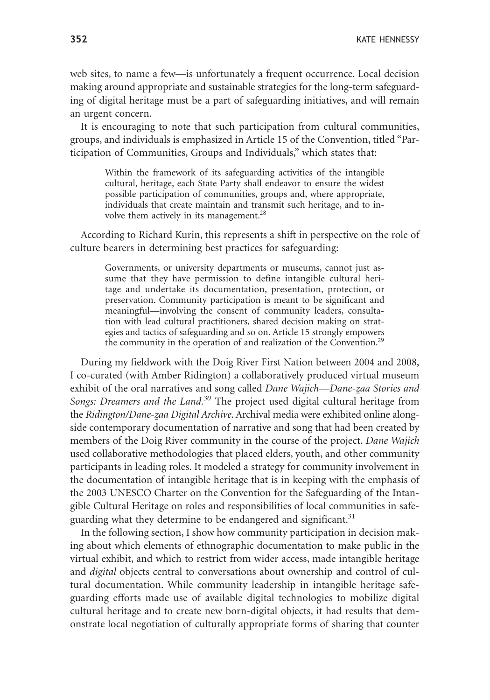web sites, to name a few—is unfortunately a frequent occurrence. Local decision making around appropriate and sustainable strategies for the long-term safeguarding of digital heritage must be a part of safeguarding initiatives, and will remain an urgent concern.

It is encouraging to note that such participation from cultural communities, groups, and individuals is emphasized in Article 15 of the Convention, titled "Participation of Communities, Groups and Individuals," which states that:

Within the framework of its safeguarding activities of the intangible cultural, heritage, each State Party shall endeavor to ensure the widest possible participation of communities, groups and, where appropriate, individuals that create maintain and transmit such heritage, and to involve them actively in its management.<sup>28</sup>

According to Richard Kurin, this represents a shift in perspective on the role of culture bearers in determining best practices for safeguarding:

Governments, or university departments or museums, cannot just assume that they have permission to define intangible cultural heritage and undertake its documentation, presentation, protection, or preservation. Community participation is meant to be significant and meaningful—involving the consent of community leaders, consultation with lead cultural practitioners, shared decision making on strategies and tactics of safeguarding and so on. Article 15 strongly empowers the community in the operation of and realization of the Convention.<sup>29</sup>

During my fieldwork with the Doig River First Nation between 2004 and 2008, I co-curated (with Amber Ridington) a collaboratively produced virtual museum exhibit of the oral narratives and song called *Dane Wajich—Dane-<u>z</u>aa Stories and Songs: Dreamers and the Land.30* The project used digital cultural heritage from the *Ridington/Dane-zaa Digital Archive*. Archival media were exhibited online alongside contemporary documentation of narrative and song that had been created by members of the Doig River community in the course of the project. *Dane Wajich* used collaborative methodologies that placed elders, youth, and other community participants in leading roles. It modeled a strategy for community involvement in the documentation of intangible heritage that is in keeping with the emphasis of the 2003 UNESCO Charter on the Convention for the Safeguarding of the Intangible Cultural Heritage on roles and responsibilities of local communities in safeguarding what they determine to be endangered and significant.<sup>31</sup>

In the following section, I show how community participation in decision making about which elements of ethnographic documentation to make public in the virtual exhibit, and which to restrict from wider access, made intangible heritage and *digital* objects central to conversations about ownership and control of cultural documentation. While community leadership in intangible heritage safeguarding efforts made use of available digital technologies to mobilize digital cultural heritage and to create new born-digital objects, it had results that demonstrate local negotiation of culturally appropriate forms of sharing that counter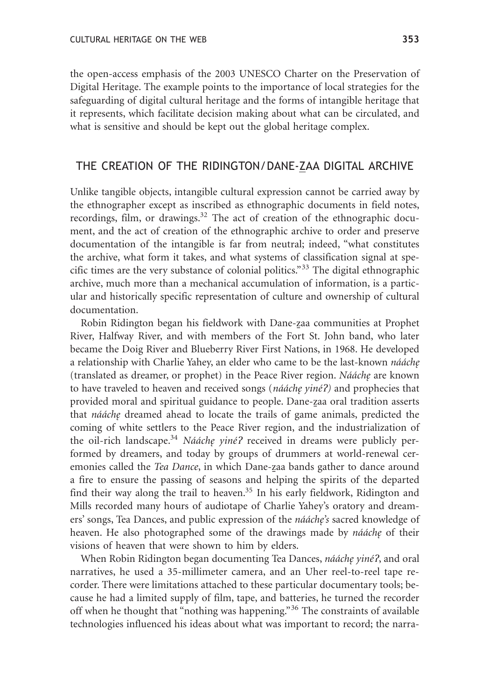the open-access emphasis of the 2003 UNESCO Charter on the Preservation of Digital Heritage. The example points to the importance of local strategies for the safeguarding of digital cultural heritage and the forms of intangible heritage that it represents, which facilitate decision making about what can be circulated, and what is sensitive and should be kept out the global heritage complex.

## THE CREATION OF THE RIDINGTON/DANE-ZAA DIGITAL ARCHIVE

Unlike tangible objects, intangible cultural expression cannot be carried away by the ethnographer except as inscribed as ethnographic documents in field notes, recordings, film, or drawings. $32$  The act of creation of the ethnographic document, and the act of creation of the ethnographic archive to order and preserve documentation of the intangible is far from neutral; indeed, "what constitutes the archive, what form it takes, and what systems of classification signal at specific times are the very substance of colonial politics."<sup>33</sup> The digital ethnographic archive, much more than a mechanical accumulation of information, is a particular and historically specific representation of culture and ownership of cultural documentation.

Robin Ridington began his fieldwork with Dane-zaa communities at Prophet River, Halfway River, and with members of the Fort St. John band, who later became the Doig River and Blueberry River First Nations, in 1968. He developed a relationship with Charlie Yahey, an elder who came to be the last-known *nááche* (translated as dreamer, or prophet) in the Peace River region. *Nááche* are known to have traveled to heaven and received songs (*nááchę yiné?*) and prophecies that provided moral and spiritual guidance to people. Dane-<u>z</u>aa oral tradition asserts that *nááche* dreamed ahead to locate the trails of game animals, predicted the coming of white settlers to the Peace River region, and the industrialization of the oil-rich landscape.<sup>34</sup> *Nááchę yiné?* received in dreams were publicly performed by dreamers, and today by groups of drummers at world-renewal ceremonies called the *Tea Dance*, in which Dane-<u>z</u>aa bands gather to dance around a fire to ensure the passing of seasons and helping the spirits of the departed find their way along the trail to heaven. $35$  In his early fieldwork, Ridington and Mills recorded many hours of audiotape of Charlie Yahey's oratory and dreamers' songs, Tea Dances, and public expression of the *nááche's* sacred knowledge of heaven. He also photographed some of the drawings made by *nááche* of their visions of heaven that were shown to him by elders.

When Robin Ridington began documenting Tea Dances, *nááche yiné?*, and oral narratives, he used a 35-millimeter camera, and an Uher reel-to-reel tape recorder. There were limitations attached to these particular documentary tools; because he had a limited supply of film, tape, and batteries, he turned the recorder off when he thought that "nothing was happening."<sup>36</sup> The constraints of available technologies influenced his ideas about what was important to record; the narra-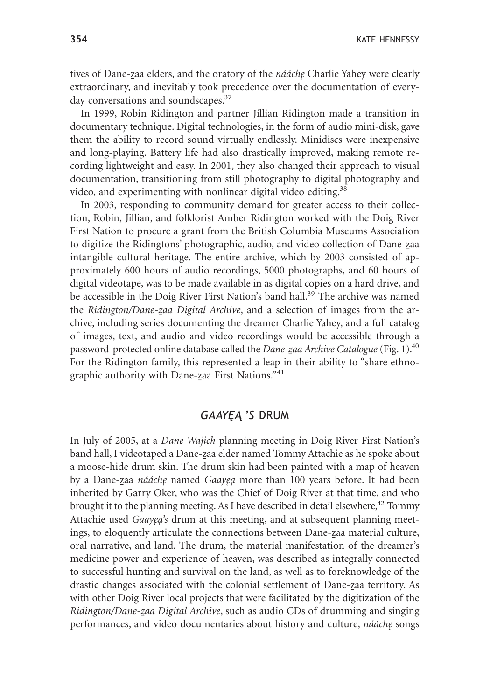tives of Dane-<u>z</u>aa elders, and the oratory of the *nááchę* Charlie Yahey were clearly extraordinary, and inevitably took precedence over the documentation of everyday conversations and soundscapes.<sup>37</sup>

In 1999, Robin Ridington and partner Jillian Ridington made a transition in documentary technique. Digital technologies, in the form of audio mini-disk, gave them the ability to record sound virtually endlessly. Minidiscs were inexpensive and long-playing. Battery life had also drastically improved, making remote recording lightweight and easy. In 2001, they also changed their approach to visual documentation, transitioning from still photography to digital photography and video, and experimenting with nonlinear digital video editing.<sup>38</sup>

In 2003, responding to community demand for greater access to their collection, Robin, Jillian, and folklorist Amber Ridington worked with the Doig River First Nation to procure a grant from the British Columbia Museums Association to digitize the Ridingtons' photographic, audio, and video collection of Dane-<u>z</u>aa intangible cultural heritage. The entire archive, which by 2003 consisted of approximately 600 hours of audio recordings, 5000 photographs, and 60 hours of digital videotape, was to be made available in as digital copies on a hard drive, and be accessible in the Doig River First Nation's band hall.<sup>39</sup> The archive was named the *Ridington/Dane-zaa Digital Archive*, and a selection of images from the archive, including series documenting the dreamer Charlie Yahey, and a full catalog of images, text, and audio and video recordings would be accessible through a password-protected online database called the *Dane-zaa Archive Catalogue* (Fig. 1).<sup>40</sup> For the Ridington family, this represented a leap in their ability to "share ethnographic authority with Dane-zaa First Nations."<sup>41</sup>

## GAAYEA 'S DRUM

In July of 2005, at a *Dane Wajich* planning meeting in Doig River First Nation's band hall, I videotaped a Dane-<u>z</u>aa elder named Tommy Attachie as he spoke about a moose-hide drum skin. The drum skin had been painted with a map of heaven by a Dane-<u>z</u>aa *nááchę* named *Gaayęą* more than 100 years before. It had been inherited by Garry Oker, who was the Chief of Doig River at that time, and who brought it to the planning meeting. As I have described in detail elsewhere,<sup>42</sup> Tommy Attachie used *Gaayea's* drum at this meeting, and at subsequent planning meetings, to eloquently articulate the connections between Dane-zaa material culture, oral narrative, and land. The drum, the material manifestation of the dreamer's medicine power and experience of heaven, was described as integrally connected to successful hunting and survival on the land, as well as to foreknowledge of the drastic changes associated with the colonial settlement of Dane-zaa territory. As with other Doig River local projects that were facilitated by the digitization of the Ridington/Dane-<u>z</u>aa Digital Archive, such as audio CDs of drumming and singing performances, and video documentaries about history and culture, *nááche˛* songs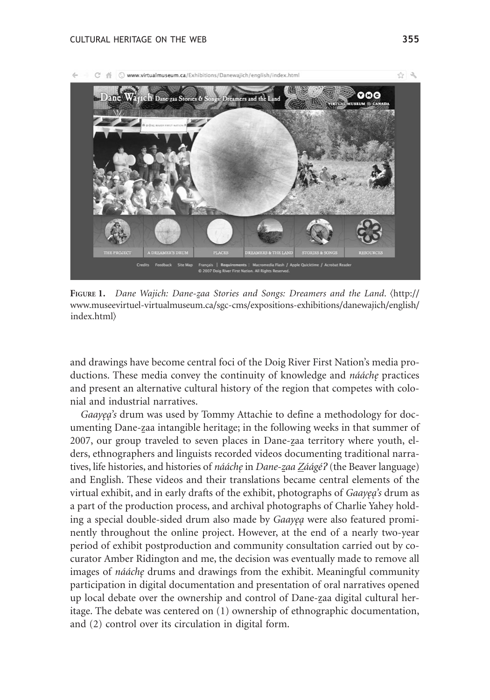

**F**igure 1. *Dane Wajich: Dane-<u>z</u>aa Stories and Songs: Dreamers and the Land.* (http:// www.museevirtuel-virtualmuseum.ca/sgc-cms/expositions-exhibitions/danewajich/english/ index.html

and drawings have become central foci of the Doig River First Nation's media productions. These media convey the continuity of knowledge and *nááche* practices and present an alternative cultural history of the region that competes with colonial and industrial narratives.

*Gaayea's* drum was used by Tommy Attachie to define a methodology for documenting Dane-<u>z</u>aa intangible heritage; in the following weeks in that summer of 2007, our group traveled to seven places in Dane-zaa territory where youth, elders, ethnographers and linguists recorded videos documenting traditional narratives, life histories, and histories of *nááchę* in *Dane-zaa <u>Z</u>áágé?* (the Beaver language) and English. These videos and their translations became central elements of the virtual exhibit, and in early drafts of the exhibit, photographs of *Gaayea's* drum as a part of the production process, and archival photographs of Charlie Yahey holding a special double-sided drum also made by *Gaayea* were also featured prominently throughout the online project. However, at the end of a nearly two-year period of exhibit postproduction and community consultation carried out by cocurator Amber Ridington and me, the decision was eventually made to remove all images of *nááche* drums and drawings from the exhibit. Meaningful community participation in digital documentation and presentation of oral narratives opened up local debate over the ownership and control of Dane-<u>z</u>aa digital cultural heritage. The debate was centered on (1) ownership of ethnographic documentation, and (2) control over its circulation in digital form.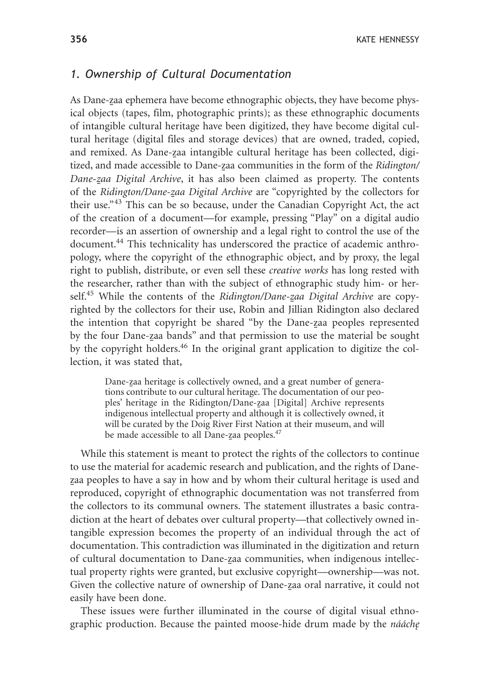#### *1. Ownership of Cultural Documentation*

As Dane-zaa ephemera have become ethnographic objects, they have become physical objects (tapes, film, photographic prints); as these ethnographic documents of intangible cultural heritage have been digitized, they have become digital cultural heritage (digital files and storage devices) that are owned, traded, copied, and remixed. As Dane-<u>z</u>aa intangible cultural heritage has been collected, digitized, and made accessible to Dane-<u>z</u>aa communities in the form of the *Ridington*/ *Dane-z*-*aa Digital Archive*, it has also been claimed as property. The contents of the *Ridington/Dane-zaa Digital Archive* are "copyrighted by the collectors for their use."<sup>43</sup> This can be so because, under the Canadian Copyright Act, the act of the creation of a document—for example, pressing "Play" on a digital audio recorder—is an assertion of ownership and a legal right to control the use of the document.44 This technicality has underscored the practice of academic anthropology, where the copyright of the ethnographic object, and by proxy, the legal right to publish, distribute, or even sell these *creative works* has long rested with the researcher, rather than with the subject of ethnographic study him- or herself.<sup>45</sup> While the contents of the *Ridington/Dane-zaa Digital Archive* are copyrighted by the collectors for their use, Robin and Jillian Ridington also declared the intention that copyright be shared "by the Dane-zaa peoples represented by the four Dane-<u>z</u>aa bands" and that permission to use the material be sought by the copyright holders.<sup>46</sup> In the original grant application to digitize the collection, it was stated that,

Dane-zaa heritage is collectively owned, and a great number of generations contribute to our cultural heritage. The documentation of our peoples' heritage in the Ridington/Dane-zaa [Digital] Archive represents indigenous intellectual property and although it is collectively owned, it will be curated by the Doig River First Nation at their museum, and will be made accessible to all Dane-zaa peoples.<sup>47</sup>

While this statement is meant to protect the rights of the collectors to continue to use the material for academic research and publication, and the rights of Danezaa peoples to have a say in how and by whom their cultural heritage is used and reproduced, copyright of ethnographic documentation was not transferred from the collectors to its communal owners. The statement illustrates a basic contradiction at the heart of debates over cultural property—that collectively owned intangible expression becomes the property of an individual through the act of documentation. This contradiction was illuminated in the digitization and return of cultural documentation to Dane-zaa communities, when indigenous intellectual property rights were granted, but exclusive copyright—ownership—was not. Given the collective nature of ownership of Dane-<u>z</u>aa oral narrative, it could not easily have been done.

These issues were further illuminated in the course of digital visual ethnographic production. Because the painted moose-hide drum made by the *nááche*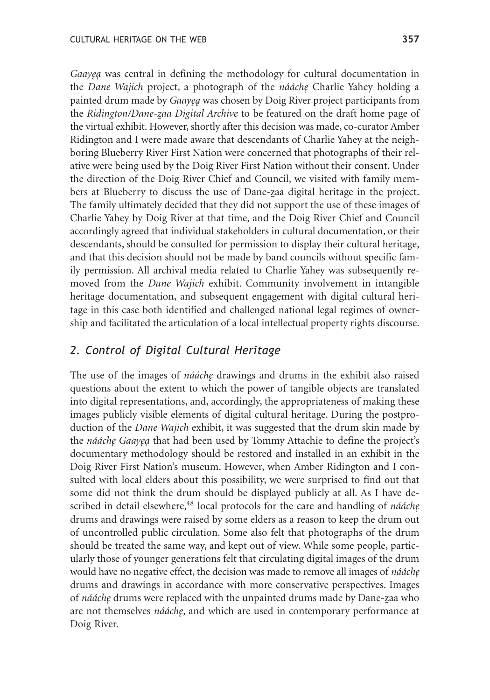*Gaayeq* was central in defining the methodology for cultural documentation in the *Dane Wajich* project, a photograph of the *nááche˛* Charlie Yahey holding a painted drum made by *Gaayea* was chosen by Doig River project participants from the *Ridington/Dane-<u>z</u>aa Digital Archive* to be featured on the draft home page of the virtual exhibit. However, shortly after this decision was made, co-curator Amber Ridington and I were made aware that descendants of Charlie Yahey at the neighboring Blueberry River First Nation were concerned that photographs of their relative were being used by the Doig River First Nation without their consent. Under the direction of the Doig River Chief and Council, we visited with family members at Blueberry to discuss the use of Dane-zaa digital heritage in the project. The family ultimately decided that they did not support the use of these images of Charlie Yahey by Doig River at that time, and the Doig River Chief and Council accordingly agreed that individual stakeholders in cultural documentation, or their descendants, should be consulted for permission to display their cultural heritage, and that this decision should not be made by band councils without specific family permission. All archival media related to Charlie Yahey was subsequently removed from the *Dane Wajich* exhibit. Community involvement in intangible heritage documentation, and subsequent engagement with digital cultural heritage in this case both identified and challenged national legal regimes of ownership and facilitated the articulation of a local intellectual property rights discourse.

## *2. Control of Digital Cultural Heritage*

The use of the images of *nááche* drawings and drums in the exhibit also raised questions about the extent to which the power of tangible objects are translated into digital representations, and, accordingly, the appropriateness of making these images publicly visible elements of digital cultural heritage. During the postproduction of the *Dane Wajich* exhibit, it was suggested that the drum skin made by the *nááche Gaayea* that had been used by Tommy Attachie to define the project's documentary methodology should be restored and installed in an exhibit in the Doig River First Nation's museum. However, when Amber Ridington and I consulted with local elders about this possibility, we were surprised to find out that some did not think the drum should be displayed publicly at all. As I have described in detail elsewhere,<sup>48</sup> local protocols for the care and handling of *nááche* drums and drawings were raised by some elders as a reason to keep the drum out of uncontrolled public circulation. Some also felt that photographs of the drum should be treated the same way, and kept out of view. While some people, particularly those of younger generations felt that circulating digital images of the drum would have no negative effect, the decision was made to remove all images of *nááche* drums and drawings in accordance with more conservative perspectives. Images of *nááchę* drums were replaced with the unpainted drums made by Dane-<u>z</u>aa who are not themselves *nááche*, and which are used in contemporary performance at Doig River.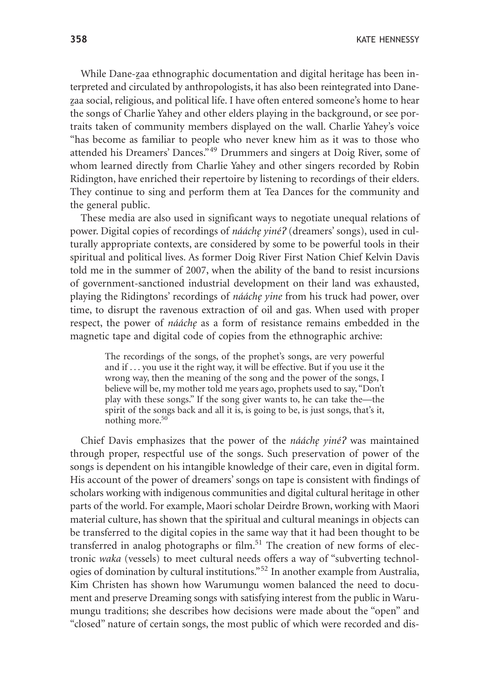**358** KATE HENNESSY

While Dane-zaa ethnographic documentation and digital heritage has been interpreted and circulated by anthropologists, it has also been reintegrated into Dane-<u>z</u>aa social, religious, and political life. I have often entered someone's home to hear the songs of Charlie Yahey and other elders playing in the background, or see portraits taken of community members displayed on the wall. Charlie Yahey's voice "has become as familiar to people who never knew him as it was to those who attended his Dreamers' Dances."<sup>49</sup> Drummers and singers at Doig River, some of whom learned directly from Charlie Yahey and other singers recorded by Robin Ridington, have enriched their repertoire by listening to recordings of their elders. They continue to sing and perform them at Tea Dances for the community and the general public.

These media are also used in significant ways to negotiate unequal relations of power. Digital copies of recordings of *nááche˛ yiné*? (dreamers' songs), used in culturally appropriate contexts, are considered by some to be powerful tools in their spiritual and political lives. As former Doig River First Nation Chief Kelvin Davis told me in the summer of 2007, when the ability of the band to resist incursions of government-sanctioned industrial development on their land was exhausted, playing the Ridingtons' recordings of *nááche yine* from his truck had power, over time, to disrupt the ravenous extraction of oil and gas. When used with proper respect, the power of *nááche* as a form of resistance remains embedded in the magnetic tape and digital code of copies from the ethnographic archive:

The recordings of the songs, of the prophet's songs, are very powerful and if . . . you use it the right way, it will be effective. But if you use it the wrong way, then the meaning of the song and the power of the songs, I believe will be, my mother told me years ago, prophets used to say, "Don't play with these songs." If the song giver wants to, he can take the—the spirit of the songs back and all it is, is going to be, is just songs, that's it, nothing more.<sup>50</sup>

Chief Davis emphasizes that the power of the *nááche yiné*? was maintained through proper, respectful use of the songs. Such preservation of power of the songs is dependent on his intangible knowledge of their care, even in digital form. His account of the power of dreamers' songs on tape is consistent with findings of scholars working with indigenous communities and digital cultural heritage in other parts of the world. For example, Maori scholar Deirdre Brown, working with Maori material culture, has shown that the spiritual and cultural meanings in objects can be transferred to the digital copies in the same way that it had been thought to be transferred in analog photographs or film.<sup>51</sup> The creation of new forms of electronic *waka* (vessels) to meet cultural needs offers a way of "subverting technologies of domination by cultural institutions."<sup>52</sup> In another example from Australia, Kim Christen has shown how Warumungu women balanced the need to document and preserve Dreaming songs with satisfying interest from the public in Warumungu traditions; she describes how decisions were made about the "open" and "closed" nature of certain songs, the most public of which were recorded and dis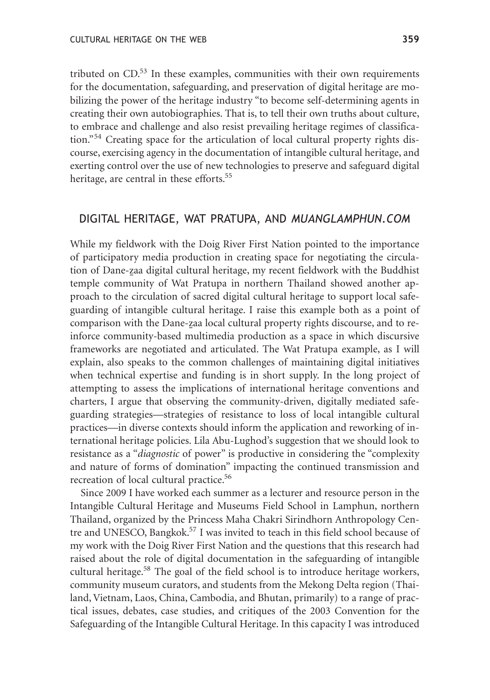tributed on  $CD$ <sup>53</sup> In these examples, communities with their own requirements for the documentation, safeguarding, and preservation of digital heritage are mobilizing the power of the heritage industry "to become self-determining agents in creating their own autobiographies. That is, to tell their own truths about culture, to embrace and challenge and also resist prevailing heritage regimes of classification."<sup>54</sup> Creating space for the articulation of local cultural property rights discourse, exercising agency in the documentation of intangible cultural heritage, and exerting control over the use of new technologies to preserve and safeguard digital heritage, are central in these efforts.<sup>55</sup>

### DIGITAL HERITAGE, WAT PRATUPA, AND *MUANGLAMPHUN.COM*

While my fieldwork with the Doig River First Nation pointed to the importance of participatory media production in creating space for negotiating the circulation of Dane-<u>z</u>aa digital cultural heritage, my recent fieldwork with the Buddhist temple community of Wat Pratupa in northern Thailand showed another approach to the circulation of sacred digital cultural heritage to support local safeguarding of intangible cultural heritage. I raise this example both as a point of comparison with the Dane-zaa local cultural property rights discourse, and to reinforce community-based multimedia production as a space in which discursive frameworks are negotiated and articulated. The Wat Pratupa example, as I will explain, also speaks to the common challenges of maintaining digital initiatives when technical expertise and funding is in short supply. In the long project of attempting to assess the implications of international heritage conventions and charters, I argue that observing the community-driven, digitally mediated safeguarding strategies—strategies of resistance to loss of local intangible cultural practices—in diverse contexts should inform the application and reworking of international heritage policies. Lila Abu-Lughod's suggestion that we should look to resistance as a "*diagnostic* of power" is productive in considering the "complexity and nature of forms of domination" impacting the continued transmission and recreation of local cultural practice.<sup>56</sup>

Since 2009 I have worked each summer as a lecturer and resource person in the Intangible Cultural Heritage and Museums Field School in Lamphun, northern Thailand, organized by the Princess Maha Chakri Sirindhorn Anthropology Centre and UNESCO, Bangkok. $57$  I was invited to teach in this field school because of my work with the Doig River First Nation and the questions that this research had raised about the role of digital documentation in the safeguarding of intangible cultural heritage.<sup>58</sup> The goal of the field school is to introduce heritage workers, community museum curators, and students from the Mekong Delta region (Thailand, Vietnam, Laos, China, Cambodia, and Bhutan, primarily) to a range of practical issues, debates, case studies, and critiques of the 2003 Convention for the Safeguarding of the Intangible Cultural Heritage. In this capacity I was introduced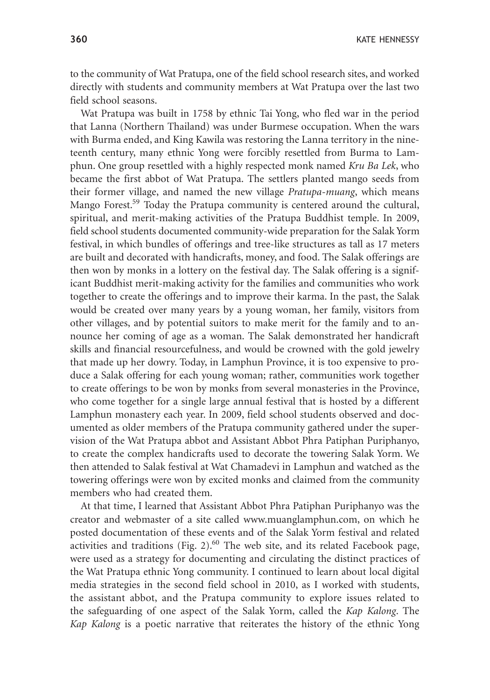**360** KATE HENNESSY

to the community of Wat Pratupa, one of the field school research sites, and worked directly with students and community members at Wat Pratupa over the last two field school seasons.

Wat Pratupa was built in 1758 by ethnic Tai Yong, who fled war in the period that Lanna (Northern Thailand) was under Burmese occupation. When the wars with Burma ended, and King Kawila was restoring the Lanna territory in the nineteenth century, many ethnic Yong were forcibly resettled from Burma to Lamphun. One group resettled with a highly respected monk named *Kru Ba Lek*, who became the first abbot of Wat Pratupa. The settlers planted mango seeds from their former village, and named the new village *Pratupa-muang*, which means Mango Forest.<sup>59</sup> Today the Pratupa community is centered around the cultural, spiritual, and merit-making activities of the Pratupa Buddhist temple. In 2009, field school students documented community-wide preparation for the Salak Yorm festival, in which bundles of offerings and tree-like structures as tall as 17 meters are built and decorated with handicrafts, money, and food. The Salak offerings are then won by monks in a lottery on the festival day. The Salak offering is a significant Buddhist merit-making activity for the families and communities who work together to create the offerings and to improve their karma. In the past, the Salak would be created over many years by a young woman, her family, visitors from other villages, and by potential suitors to make merit for the family and to announce her coming of age as a woman. The Salak demonstrated her handicraft skills and financial resourcefulness, and would be crowned with the gold jewelry that made up her dowry. Today, in Lamphun Province, it is too expensive to produce a Salak offering for each young woman; rather, communities work together to create offerings to be won by monks from several monasteries in the Province, who come together for a single large annual festival that is hosted by a different Lamphun monastery each year. In 2009, field school students observed and documented as older members of the Pratupa community gathered under the supervision of the Wat Pratupa abbot and Assistant Abbot Phra Patiphan Puriphanyo, to create the complex handicrafts used to decorate the towering Salak Yorm. We then attended to Salak festival at Wat Chamadevi in Lamphun and watched as the towering offerings were won by excited monks and claimed from the community members who had created them.

At that time, I learned that Assistant Abbot Phra Patiphan Puriphanyo was the creator and webmaster of a site called www.muanglamphun.com, on which he posted documentation of these events and of the Salak Yorm festival and related activities and traditions (Fig.  $2$ ).<sup>60</sup> The web site, and its related Facebook page, were used as a strategy for documenting and circulating the distinct practices of the Wat Pratupa ethnic Yong community. I continued to learn about local digital media strategies in the second field school in 2010, as I worked with students, the assistant abbot, and the Pratupa community to explore issues related to the safeguarding of one aspect of the Salak Yorm, called the *Kap Kalong*. The *Kap Kalong* is a poetic narrative that reiterates the history of the ethnic Yong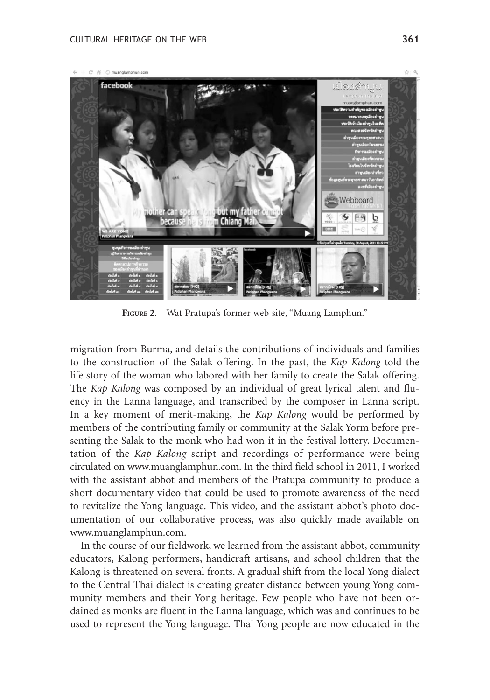

**FIGURE 2.** Wat Pratupa's former web site, "Muang Lamphun."

migration from Burma, and details the contributions of individuals and families to the construction of the Salak offering. In the past, the *Kap Kalong* told the life story of the woman who labored with her family to create the Salak offering. The *Kap Kalong* was composed by an individual of great lyrical talent and fluency in the Lanna language, and transcribed by the composer in Lanna script. In a key moment of merit-making, the *Kap Kalong* would be performed by members of the contributing family or community at the Salak Yorm before presenting the Salak to the monk who had won it in the festival lottery. Documentation of the *Kap Kalong* script and recordings of performance were being circulated on www.muanglamphun.com. In the third field school in 2011, I worked with the assistant abbot and members of the Pratupa community to produce a short documentary video that could be used to promote awareness of the need to revitalize the Yong language. This video, and the assistant abbot's photo documentation of our collaborative process, was also quickly made available on www.muanglamphun.com.

In the course of our fieldwork, we learned from the assistant abbot, community educators, Kalong performers, handicraft artisans, and school children that the Kalong is threatened on several fronts. A gradual shift from the local Yong dialect to the Central Thai dialect is creating greater distance between young Yong community members and their Yong heritage. Few people who have not been ordained as monks are fluent in the Lanna language, which was and continues to be used to represent the Yong language. Thai Yong people are now educated in the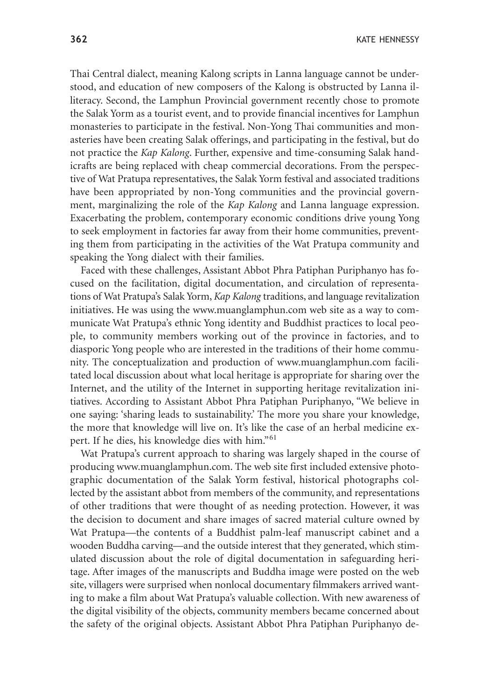Thai Central dialect, meaning Kalong scripts in Lanna language cannot be understood, and education of new composers of the Kalong is obstructed by Lanna illiteracy. Second, the Lamphun Provincial government recently chose to promote the Salak Yorm as a tourist event, and to provide financial incentives for Lamphun monasteries to participate in the festival. Non-Yong Thai communities and monasteries have been creating Salak offerings, and participating in the festival, but do not practice the *Kap Kalong*. Further, expensive and time-consuming Salak handicrafts are being replaced with cheap commercial decorations. From the perspective of Wat Pratupa representatives, the Salak Yorm festival and associated traditions have been appropriated by non-Yong communities and the provincial government, marginalizing the role of the *Kap Kalong* and Lanna language expression. Exacerbating the problem, contemporary economic conditions drive young Yong to seek employment in factories far away from their home communities, preventing them from participating in the activities of the Wat Pratupa community and speaking the Yong dialect with their families.

Faced with these challenges, Assistant Abbot Phra Patiphan Puriphanyo has focused on the facilitation, digital documentation, and circulation of representations of Wat Pratupa's Salak Yorm, *Kap Kalong* traditions, and language revitalization initiatives. He was using the www.muanglamphun.com web site as a way to communicate Wat Pratupa's ethnic Yong identity and Buddhist practices to local people, to community members working out of the province in factories, and to diasporic Yong people who are interested in the traditions of their home community. The conceptualization and production of www.muanglamphun.com facilitated local discussion about what local heritage is appropriate for sharing over the Internet, and the utility of the Internet in supporting heritage revitalization initiatives. According to Assistant Abbot Phra Patiphan Puriphanyo, "We believe in one saying: 'sharing leads to sustainability.' The more you share your knowledge, the more that knowledge will live on. It's like the case of an herbal medicine expert. If he dies, his knowledge dies with him."<sup>61</sup>

Wat Pratupa's current approach to sharing was largely shaped in the course of producing www.muanglamphun.com. The web site first included extensive photographic documentation of the Salak Yorm festival, historical photographs collected by the assistant abbot from members of the community, and representations of other traditions that were thought of as needing protection. However, it was the decision to document and share images of sacred material culture owned by Wat Pratupa—the contents of a Buddhist palm-leaf manuscript cabinet and a wooden Buddha carving—and the outside interest that they generated, which stimulated discussion about the role of digital documentation in safeguarding heritage. After images of the manuscripts and Buddha image were posted on the web site, villagers were surprised when nonlocal documentary filmmakers arrived wanting to make a film about Wat Pratupa's valuable collection. With new awareness of the digital visibility of the objects, community members became concerned about the safety of the original objects. Assistant Abbot Phra Patiphan Puriphanyo de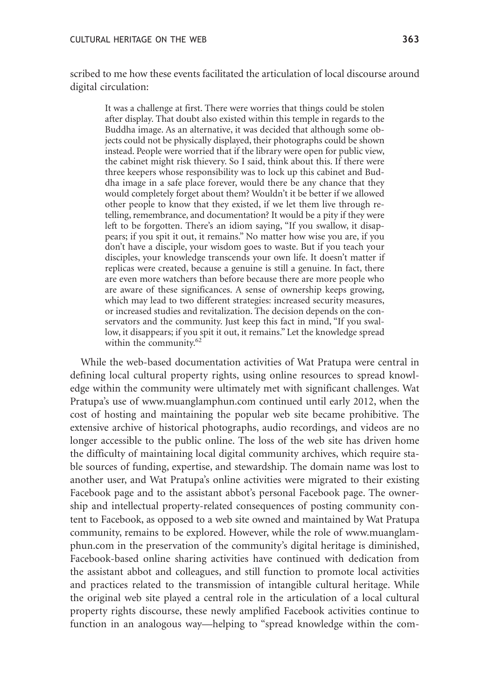scribed to me how these events facilitated the articulation of local discourse around digital circulation:

It was a challenge at first. There were worries that things could be stolen after display. That doubt also existed within this temple in regards to the Buddha image. As an alternative, it was decided that although some objects could not be physically displayed, their photographs could be shown instead. People were worried that if the library were open for public view, the cabinet might risk thievery. So I said, think about this. If there were three keepers whose responsibility was to lock up this cabinet and Buddha image in a safe place forever, would there be any chance that they would completely forget about them? Wouldn't it be better if we allowed other people to know that they existed, if we let them live through retelling, remembrance, and documentation? It would be a pity if they were left to be forgotten. There's an idiom saying, "If you swallow, it disappears; if you spit it out, it remains." No matter how wise you are, if you don't have a disciple, your wisdom goes to waste. But if you teach your disciples, your knowledge transcends your own life. It doesn't matter if replicas were created, because a genuine is still a genuine. In fact, there are even more watchers than before because there are more people who are aware of these significances. A sense of ownership keeps growing, which may lead to two different strategies: increased security measures, or increased studies and revitalization. The decision depends on the conservators and the community. Just keep this fact in mind, "If you swallow, it disappears; if you spit it out, it remains." Let the knowledge spread within the community.<sup>62</sup>

While the web-based documentation activities of Wat Pratupa were central in defining local cultural property rights, using online resources to spread knowledge within the community were ultimately met with significant challenges. Wat Pratupa's use of www.muanglamphun.com continued until early 2012, when the cost of hosting and maintaining the popular web site became prohibitive. The extensive archive of historical photographs, audio recordings, and videos are no longer accessible to the public online. The loss of the web site has driven home the difficulty of maintaining local digital community archives, which require stable sources of funding, expertise, and stewardship. The domain name was lost to another user, and Wat Pratupa's online activities were migrated to their existing Facebook page and to the assistant abbot's personal Facebook page. The ownership and intellectual property-related consequences of posting community content to Facebook, as opposed to a web site owned and maintained by Wat Pratupa community, remains to be explored. However, while the role of www.muanglamphun.com in the preservation of the community's digital heritage is diminished, Facebook-based online sharing activities have continued with dedication from the assistant abbot and colleagues, and still function to promote local activities and practices related to the transmission of intangible cultural heritage. While the original web site played a central role in the articulation of a local cultural property rights discourse, these newly amplified Facebook activities continue to function in an analogous way—helping to "spread knowledge within the com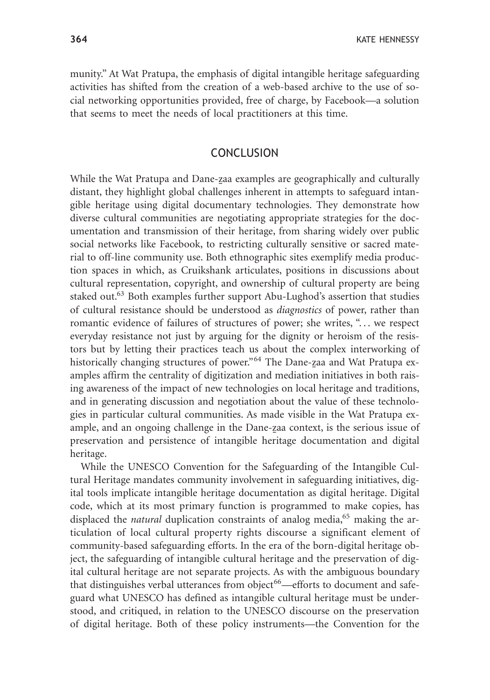munity." At Wat Pratupa, the emphasis of digital intangible heritage safeguarding activities has shifted from the creation of a web-based archive to the use of social networking opportunities provided, free of charge, by Facebook—a solution that seems to meet the needs of local practitioners at this time.

## **CONCLUSION**

While the Wat Pratupa and Dane-zaa examples are geographically and culturally distant, they highlight global challenges inherent in attempts to safeguard intangible heritage using digital documentary technologies. They demonstrate how diverse cultural communities are negotiating appropriate strategies for the documentation and transmission of their heritage, from sharing widely over public social networks like Facebook, to restricting culturally sensitive or sacred material to off-line community use. Both ethnographic sites exemplify media production spaces in which, as Cruikshank articulates, positions in discussions about cultural representation, copyright, and ownership of cultural property are being staked out.<sup>63</sup> Both examples further support Abu-Lughod's assertion that studies of cultural resistance should be understood as *diagnostics* of power, rather than romantic evidence of failures of structures of power; she writes, "... we respect everyday resistance not just by arguing for the dignity or heroism of the resistors but by letting their practices teach us about the complex interworking of historically changing structures of power."<sup>64</sup> The Dane-zaa and Wat Pratupa examples affirm the centrality of digitization and mediation initiatives in both raising awareness of the impact of new technologies on local heritage and traditions, and in generating discussion and negotiation about the value of these technologies in particular cultural communities. As made visible in the Wat Pratupa example, and an ongoing challenge in the Dane-<u>z</u>aa context, is the serious issue of preservation and persistence of intangible heritage documentation and digital heritage.

While the UNESCO Convention for the Safeguarding of the Intangible Cultural Heritage mandates community involvement in safeguarding initiatives, digital tools implicate intangible heritage documentation as digital heritage. Digital code, which at its most primary function is programmed to make copies, has displaced the *natural* duplication constraints of analog media,<sup>65</sup> making the articulation of local cultural property rights discourse a significant element of community-based safeguarding efforts. In the era of the born-digital heritage object, the safeguarding of intangible cultural heritage and the preservation of digital cultural heritage are not separate projects. As with the ambiguous boundary that distinguishes verbal utterances from object<sup>66</sup>—efforts to document and safeguard what UNESCO has defined as intangible cultural heritage must be understood, and critiqued, in relation to the UNESCO discourse on the preservation of digital heritage. Both of these policy instruments—the Convention for the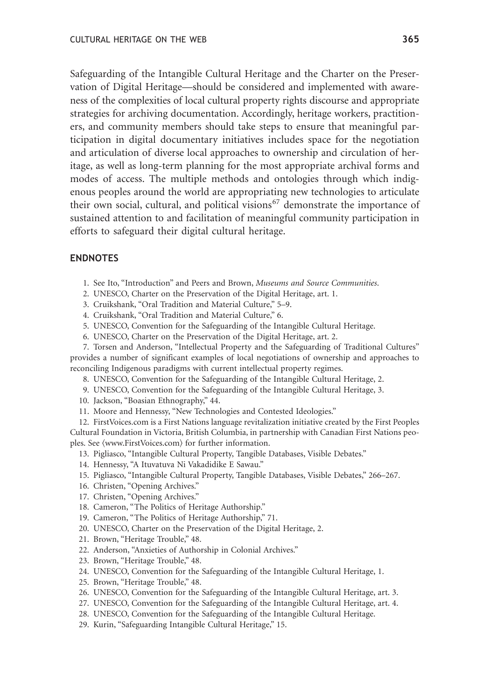Safeguarding of the Intangible Cultural Heritage and the Charter on the Preservation of Digital Heritage—should be considered and implemented with awareness of the complexities of local cultural property rights discourse and appropriate strategies for archiving documentation. Accordingly, heritage workers, practitioners, and community members should take steps to ensure that meaningful participation in digital documentary initiatives includes space for the negotiation and articulation of diverse local approaches to ownership and circulation of heritage, as well as long-term planning for the most appropriate archival forms and modes of access. The multiple methods and ontologies through which indigenous peoples around the world are appropriating new technologies to articulate their own social, cultural, and political visions<sup>67</sup> demonstrate the importance of sustained attention to and facilitation of meaningful community participation in efforts to safeguard their digital cultural heritage.

#### **ENDNOTES**

- 1. See Ito, "Introduction" and Peers and Brown, *Museums and Source Communities*.
- 2. UNESCO, Charter on the Preservation of the Digital Heritage, art. 1.
- 3. Cruikshank, "Oral Tradition and Material Culture," 5–9.
- 4. Cruikshank, "Oral Tradition and Material Culture," 6.
- 5. UNESCO, Convention for the Safeguarding of the Intangible Cultural Heritage.
- 6. UNESCO, Charter on the Preservation of the Digital Heritage, art. 2.

7. Torsen and Anderson, "Intellectual Property and the Safeguarding of Traditional Cultures" provides a number of significant examples of local negotiations of ownership and approaches to reconciling Indigenous paradigms with current intellectual property regimes.

- 8. UNESCO, Convention for the Safeguarding of the Intangible Cultural Heritage, 2.
- 9. UNESCO, Convention for the Safeguarding of the Intangible Cultural Heritage, 3.
- 10. Jackson, "Boasian Ethnography," 44.
- 11. Moore and Hennessy, "New Technologies and Contested Ideologies."

12. FirstVoices.com is a First Nations language revitalization initiative created by the First Peoples Cultural Foundation in Victoria, British Columbia, in partnership with Canadian First Nations peoples. See  $\langle$ www.FirstVoices.com $\rangle$  for further information.

- 13. Pigliasco, "Intangible Cultural Property, Tangible Databases, Visible Debates."
- 14. Hennessy, "A Ituvatuva Ni Vakadidike E Sawau."
- 15. Pigliasco, "Intangible Cultural Property, Tangible Databases, Visible Debates," 266–267.
- 16. Christen, "Opening Archives."
- 17. Christen, "Opening Archives."
- 18. Cameron, "The Politics of Heritage Authorship."
- 19. Cameron, "The Politics of Heritage Authorship," 71.
- 20. UNESCO, Charter on the Preservation of the Digital Heritage, 2.
- 21. Brown, "Heritage Trouble," 48.
- 22. Anderson, "Anxieties of Authorship in Colonial Archives."
- 23. Brown, "Heritage Trouble," 48.
- 24. UNESCO, Convention for the Safeguarding of the Intangible Cultural Heritage, 1.
- 25. Brown, "Heritage Trouble," 48.
- 26. UNESCO, Convention for the Safeguarding of the Intangible Cultural Heritage, art. 3.
- 27. UNESCO, Convention for the Safeguarding of the Intangible Cultural Heritage, art. 4.
- 28. UNESCO, Convention for the Safeguarding of the Intangible Cultural Heritage.
- 29. Kurin, "Safeguarding Intangible Cultural Heritage," 15.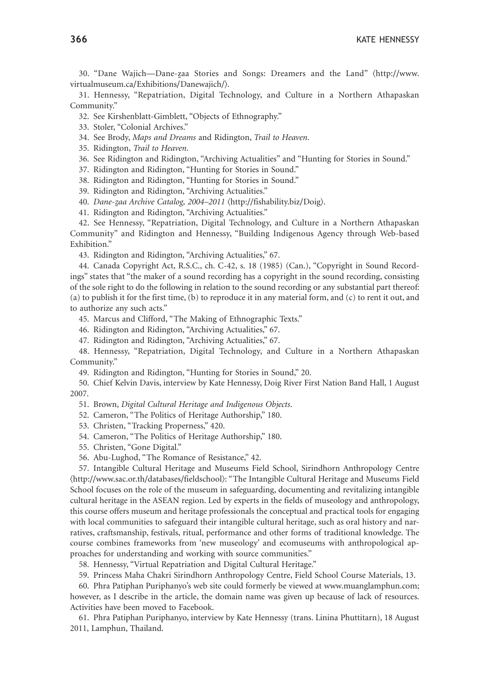30. "Dane Wajich—Dane-<u>z</u>aa Stories and Songs: Dreamers and the Land" (http://www. virtualmuseum.ca/Exhibitions/Danewajich/.

31. Hennessy, "Repatriation, Digital Technology, and Culture in a Northern Athapaskan Community."

- 32. See Kirshenblatt-Gimblett, "Objects of Ethnography."
- 33. Stoler, "Colonial Archives."
- 34. See Brody, *Maps and Dreams* and Ridington, *Trail to Heaven*.
- 35. Ridington, *Trail to Heaven*.
- 36. See Ridington and Ridington, "Archiving Actualities" and "Hunting for Stories in Sound."
- 37. Ridington and Ridington, "Hunting for Stories in Sound."
- 38. Ridington and Ridington, "Hunting for Stories in Sound."
- 39. Ridington and Ridington, "Archiving Actualities."
- 40. *Dane-<u>z</u>aa Archive Catalog, 2004–2011* (http://fishability.biz/Doig).
- 41. Ridington and Ridington, "Archiving Actualities."

42. See Hennessy, "Repatriation, Digital Technology, and Culture in a Northern Athapaskan Community" and Ridington and Hennessy, "Building Indigenous Agency through Web-based Exhibition."

43. Ridington and Ridington, "Archiving Actualities," 67.

44. Canada Copyright Act, R.S.C., ch. C-42, s. 18 (1985) (Can.), "Copyright in Sound Recordings" states that "the maker of a sound recording has a copyright in the sound recording, consisting of the sole right to do the following in relation to the sound recording or any substantial part thereof: (a) to publish it for the first time, (b) to reproduce it in any material form, and (c) to rent it out, and to authorize any such acts."

45. Marcus and Clifford, "The Making of Ethnographic Texts."

- 46. Ridington and Ridington, "Archiving Actualities," 67.
- 47. Ridington and Ridington, "Archiving Actualities," 67.

48. Hennessy, "Repatriation, Digital Technology, and Culture in a Northern Athapaskan Community."

49. Ridington and Ridington, "Hunting for Stories in Sound," 20.

50. Chief Kelvin Davis, interview by Kate Hennessy, Doig River First Nation Band Hall, 1 August 2007.

- 51. Brown, *Digital Cultural Heritage and Indigenous Objects*.
- 52. Cameron, "The Politics of Heritage Authorship," 180.
- 53. Christen, "Tracking Properness," 420.
- 54. Cameron, "The Politics of Heritage Authorship," 180.
- 55. Christen, "Gone Digital."
- 56. Abu-Lughod, "The Romance of Resistance," 42.

57. Intangible Cultural Heritage and Museums Field School, Sirindhorn Anthropology Centre -http://www.sac.or.th/databases/fieldschool: "The Intangible Cultural Heritage and Museums Field School focuses on the role of the museum in safeguarding, documenting and revitalizing intangible cultural heritage in the ASEAN region. Led by experts in the fields of museology and anthropology, this course offers museum and heritage professionals the conceptual and practical tools for engaging with local communities to safeguard their intangible cultural heritage, such as oral history and narratives, craftsmanship, festivals, ritual, performance and other forms of traditional knowledge. The course combines frameworks from 'new museology' and ecomuseums with anthropological approaches for understanding and working with source communities."

58. Hennessy, "Virtual Repatriation and Digital Cultural Heritage."

59. Princess Maha Chakri Sirindhorn Anthropology Centre, Field School Course Materials, 13.

60. Phra Patiphan Puriphanyo's web site could formerly be viewed at www.muanglamphun.com; however, as I describe in the article, the domain name was given up because of lack of resources. Activities have been moved to Facebook.

61. Phra Patiphan Puriphanyo, interview by Kate Hennessy (trans. Linina Phuttitarn), 18 August 2011, Lamphun, Thailand.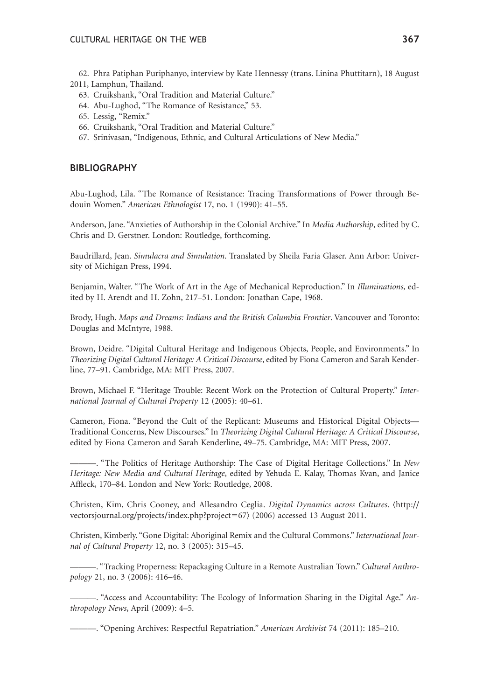- 62. Phra Patiphan Puriphanyo, interview by Kate Hennessy (trans. Linina Phuttitarn), 18 August 2011, Lamphun, Thailand.
	- 63. Cruikshank, "Oral Tradition and Material Culture."
	- 64. Abu-Lughod, "The Romance of Resistance," 53.
	- 65. Lessig, "Remix."
	- 66. Cruikshank, "Oral Tradition and Material Culture."
	- 67. Srinivasan, "Indigenous, Ethnic, and Cultural Articulations of New Media."

#### **BIBLIOGRAPHY**

Abu-Lughod, Lila. "The Romance of Resistance: Tracing Transformations of Power through Bedouin Women." *American Ethnologist* 17, no. 1 (1990): 41–55.

Anderson, Jane. "Anxieties of Authorship in the Colonial Archive." In *Media Authorship*, edited by C. Chris and D. Gerstner. London: Routledge, forthcoming.

Baudrillard, Jean. *Simulacra and Simulation*. Translated by Sheila Faria Glaser. Ann Arbor: University of Michigan Press, 1994.

Benjamin, Walter. "The Work of Art in the Age of Mechanical Reproduction." In *Illuminations*, edited by H. Arendt and H. Zohn, 217–51. London: Jonathan Cape, 1968.

Brody, Hugh. *Maps and Dreams: Indians and the British Columbia Frontier*. Vancouver and Toronto: Douglas and McIntyre, 1988.

Brown, Deidre. "Digital Cultural Heritage and Indigenous Objects, People, and Environments." In *Theorizing Digital Cultural Heritage: A Critical Discourse*, edited by Fiona Cameron and Sarah Kenderline, 77–91. Cambridge, MA: MIT Press, 2007.

Brown, Michael F. "Heritage Trouble: Recent Work on the Protection of Cultural Property." *International Journal of Cultural Property* 12 (2005): 40–61.

Cameron, Fiona. "Beyond the Cult of the Replicant: Museums and Historical Digital Objects— Traditional Concerns, New Discourses." In *Theorizing Digital Cultural Heritage: A Critical Discourse*, edited by Fiona Cameron and Sarah Kenderline, 49–75. Cambridge, MA: MIT Press, 2007.

———. "The Politics of Heritage Authorship: The Case of Digital Heritage Collections." In *New Heritage: New Media and Cultural Heritage*, edited by Yehuda E. Kalay, Thomas Kvan, and Janice Affleck, 170–84. London and New York: Routledge, 2008.

Christen, Kim, Chris Cooney, and Allesandro Ceglia. *Digital Dynamics across Cultures*. (http:// vectorsjournal.org/projects/index.php?project=67 $\rangle$  (2006) accessed 13 August 2011.

Christen, Kimberly. "Gone Digital: Aboriginal Remix and the Cultural Commons." *International Journal of Cultural Property* 12, no. 3 (2005): 315–45.

———. "Tracking Properness: Repackaging Culture in a Remote Australian Town." *Cultural Anthropology* 21, no. 3 (2006): 416–46.

———. "Access and Accountability: The Ecology of Information Sharing in the Digital Age." *Anthropology News*, April (2009): 4–5.

———. "Opening Archives: Respectful Repatriation." *American Archivist* 74 (2011): 185–210.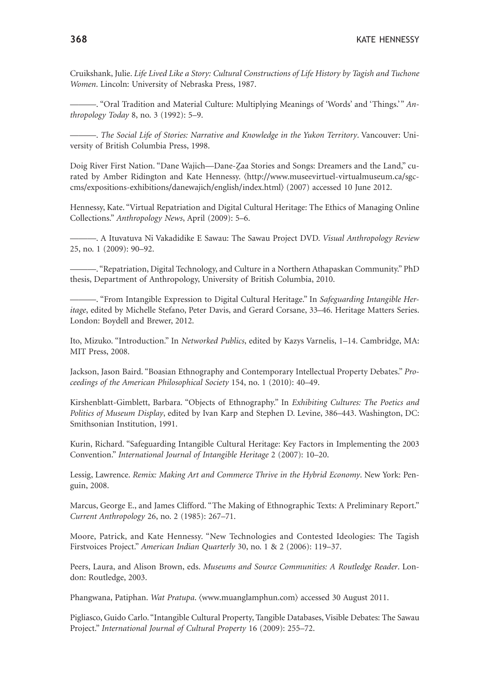Cruikshank, Julie. *Life Lived Like a Story: Cultural Constructions of Life History by Tagish and Tuchone Women*. Lincoln: University of Nebraska Press, 1987.

———. "Oral Tradition and Material Culture: Multiplying Meanings of 'Words' and 'Things.'" *Anthropology Today* 8, no. 3 (1992): 5–9.

———. *The Social Life of Stories: Narrative and Knowledge in the Yukon Territory*. Vancouver: University of British Columbia Press, 1998.

Doig River First Nation. "Dane Wajich—Dane-Zaa Stories and Songs: Dreamers and the Land," curated by Amber Ridington and Kate Hennessy. (http://www.museevirtuel-virtualmuseum.ca/sgccms/expositions-exhibitions/danewajich/english/index.html (2007) accessed 10 June 2012.

Hennessy, Kate. "Virtual Repatriation and Digital Cultural Heritage: The Ethics of Managing Online Collections." *Anthropology News*, April (2009): 5–6.

———. A Ituvatuva Ni Vakadidike E Sawau: The Sawau Project DVD. *Visual Anthropology Review* 25, no. 1 (2009): 90–92.

———. "Repatriation, Digital Technology, and Culture in a Northern Athapaskan Community." PhD thesis, Department of Anthropology, University of British Columbia, 2010.

———. "From Intangible Expression to Digital Cultural Heritage." In *Safeguarding Intangible Heritage*, edited by Michelle Stefano, Peter Davis, and Gerard Corsane, 33–46. Heritage Matters Series. London: Boydell and Brewer, 2012.

Ito, Mizuko. "Introduction." In *Networked Publics*, edited by Kazys Varnelis, 1–14. Cambridge, MA: MIT Press, 2008.

Jackson, Jason Baird. "Boasian Ethnography and Contemporary Intellectual Property Debates." *Proceedings of the American Philosophical Society* 154, no. 1 (2010): 40–49.

Kirshenblatt-Gimblett, Barbara. "Objects of Ethnography." In *Exhibiting Cultures: The Poetics and Politics of Museum Display*, edited by Ivan Karp and Stephen D. Levine, 386–443. Washington, DC: Smithsonian Institution, 1991.

Kurin, Richard. "Safeguarding Intangible Cultural Heritage: Key Factors in Implementing the 2003 Convention." *International Journal of Intangible Heritage* 2 (2007): 10–20.

Lessig, Lawrence. *Remix: Making Art and Commerce Thrive in the Hybrid Economy*. New York: Penguin, 2008.

Marcus, George E., and James Clifford. "The Making of Ethnographic Texts: A Preliminary Report." *Current Anthropology* 26, no. 2 (1985): 267–71.

Moore, Patrick, and Kate Hennessy. "New Technologies and Contested Ideologies: The Tagish Firstvoices Project." *American Indian Quarterly* 30, no. 1 & 2 (2006): 119–37.

Peers, Laura, and Alison Brown, eds. *Museums and Source Communities: A Routledge Reader*. London: Routledge, 2003.

Phangwana, Patiphan. *Wat Pratupa*. (www.muanglamphun.com) accessed 30 August 2011.

Pigliasco, Guido Carlo. "Intangible Cultural Property, Tangible Databases, Visible Debates: The Sawau Project." *International Journal of Cultural Property* 16 (2009): 255–72.